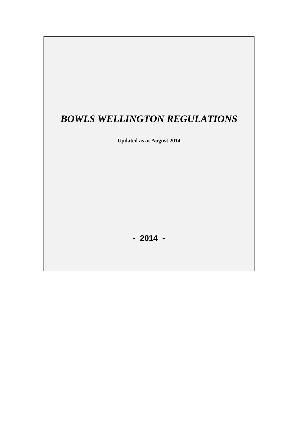# *BOWLS WELLINGTON REGULATIONS*

**Updated as at August 2014**

**- 2014 -**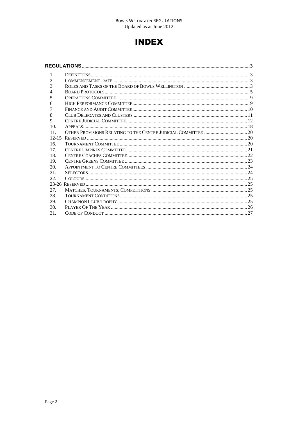## **INDEX**

| $\mathbf{1}$ .              |  |  |  |
|-----------------------------|--|--|--|
| 2.                          |  |  |  |
| $\mathcal{F}_{\mathcal{L}}$ |  |  |  |
| 4.                          |  |  |  |
| 5.                          |  |  |  |
| 6.                          |  |  |  |
| 7.                          |  |  |  |
| 8.                          |  |  |  |
| 9.                          |  |  |  |
| 10 <sub>1</sub>             |  |  |  |
| 11.                         |  |  |  |
|                             |  |  |  |
| 16.                         |  |  |  |
| 17 <sub>1</sub>             |  |  |  |
| 18.                         |  |  |  |
| 19.                         |  |  |  |
| 20.                         |  |  |  |
| 21.                         |  |  |  |
| 22.                         |  |  |  |
|                             |  |  |  |
| 27.                         |  |  |  |
| 28.                         |  |  |  |
| 29.                         |  |  |  |
| 30.                         |  |  |  |
| 31.                         |  |  |  |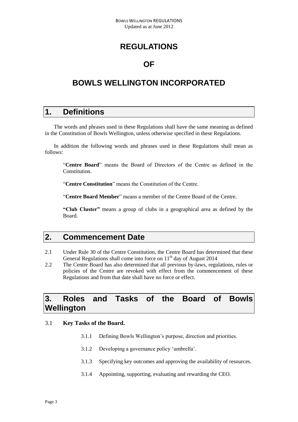## **REGULATIONS**

### **OF**

## <span id="page-2-0"></span>**BOWLS WELLINGTON INCORPORATED**

### <span id="page-2-1"></span>**1. Definitions**

The words and phrases used in these Regulations shall have the same meaning as defined in the Constitution of Bowls Wellington, unless otherwise specified in these Regulations.

In addition the following words and phrases used in these Regulations shall mean as follows:

"**Centre Board**" means the Board of Directors of the Centre as defined in the Constitution.

"**Centre Constitution**" means the Constitution of the Centre.

"**Centre Board Member**" means a member of the Centre Board of the Centre.

**"Club Cluster"** means a group of clubs in a geographical area as defined by the Board.

### <span id="page-2-2"></span>**2. Commencement Date**

- 2.1 Under Rule 30 of the Centre Constitution, the Centre Board has determined that these General Regulations shall come into force on 11<sup>th</sup> day of August 2014
- 2.2 The Centre Board has also determined that all previous by-laws, regulations, rules or policies of the Centre are revoked with effect from the commencement of these Regulations and from that date shall have no force or effect.

### <span id="page-2-3"></span>**3. Roles and Tasks of the Board of Bowls Wellington**

#### 3.1 **Key Tasks of the Board.**

- 3.1.1 Defining Bowls Wellington's purpose, direction and priorities.
- 3.1.2 Developing a governance policy 'umbrella'.
- 3.1.3 Specifying key outcomes and approving the availability of resources.
- 3.1.4 Appointing, supporting, evaluating and rewarding the CEO.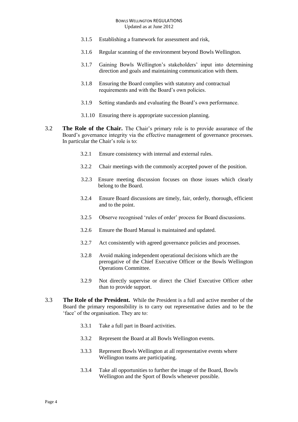- 3.1.5 Establishing a framework for assessment and risk,
- 3.1.6 Regular scanning of the environment beyond Bowls Wellington.
- 3.1.7 Gaining Bowls Wellington's stakeholders' input into determining direction and goals and maintaining communication with them.
- 3.1.8 Ensuring the Board complies with statutory and contractual requirements and with the Board's own policies.
- 3.1.9 Setting standards and evaluating the Board's own performance.
- 3.1.10 Ensuring there is appropriate succession planning.
- 3.2 **The Role of the Chair.** The Chair's primary role is to provide assurance of the Board's governance integrity via the effective management of governance processes. In particular the Chair's role is to:
	- 3.2.1 Ensure consistency with internal and external rules.
	- 3.2.2 Chair meetings with the commonly accepted power of the position.
	- 3.2.3 Ensure meeting discussion focuses on those issues which clearly belong to the Board.
	- 3.2.4 Ensure Board discussions are timely, fair, orderly, thorough, efficient and to the point.
	- 3.2.5 Observe recognised 'rules of order' process for Board discussions.
	- 3.2.6 Ensure the Board Manual is maintained and updated.
	- 3.2.7 Act consistently with agreed governance policies and processes.
	- 3.2.8 Avoid making independent operational decisions which are the prerogative of the Chief Executive Officer or the Bowls Wellington Operations Committee.
	- 3.2.9 Not directly supervise or direct the Chief Executive Officer other than to provide support.
- 3.3 **The Role of the President.** While the President is a full and active member of the Board the primary responsibility is to carry out representative duties and to be the 'face' of the organisation. They are to:
	- 3.3.1 Take a full part in Board activities.
	- 3.3.2 Represent the Board at all Bowls Wellington events.
	- 3.3.3 Represent Bowls Wellington at all representative events where Wellington teams are participating.
	- 3.3.4 Take all opportunities to further the image of the Board, Bowls Wellington and the Sport of Bowls whenever possible.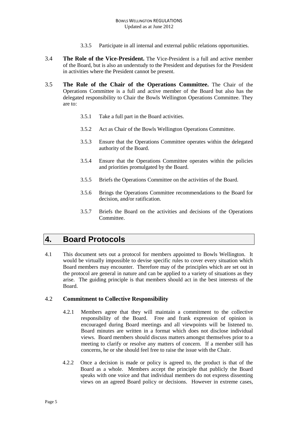- 3.3.5 Participate in all internal and external public relations opportunities.
- 3.4 **The Role of the Vice-President.** The Vice-President is a full and active member of the Board, but is also an understudy to the President and deputises for the President in activities where the President cannot be present.
- 3.5 **The Role of the Chair of the Operations Committee.** The Chair of the Operations Committee is a full and active member of the Board but also has the delegated responsibility to Chair the Bowls Wellington Operations Committee. They are to:
	- 3.5.1 Take a full part in the Board activities.
	- 3.5.2 Act as Chair of the Bowls Wellington Operations Committee.
	- 3.5.3 Ensure that the Operations Committee operates within the delegated authority of the Board.
	- 3.5.4 Ensure that the Operations Committee operates within the policies and priorities promulgated by the Board.
	- 3.5.5 Briefs the Operations Committee on the activities of the Board.
	- 3.5.6 Brings the Operations Committee recommendations to the Board for decision, and/or ratification.
	- 3.5.7 Briefs the Board on the activities and decisions of the Operations **Committee**

### <span id="page-4-0"></span>**4. Board Protocols**

4.1 This document sets out a protocol for members appointed to Bowls Wellington. It would be virtually impossible to devise specific rules to cover every situation which Board members may encounter. Therefore may of the principles which are set out in the protocol are general in nature and can be applied to a variety of situations as they arise. The guiding principle is that members should act in the best interests of the Board.

#### 4.2 **Commitment to Collective Responsibility**

- 4.2.1 Members agree that they will maintain a commitment to the collective responsibility of the Board. Free and frank expression of opinion is encouraged during Board meetings and all viewpoints will be listened to. Board minutes are written in a format which does not disclose individual views. Board members should discuss matters amongst themselves prior to a meeting to clarify or resolve any matters of concern. If a member still has concerns, he or she should feel free to raise the issue with the Chair.
- 4.2.2 Once a decision is made or policy is agreed to, the product is that of the Board as a whole. Members accept the principle that publicly the Board speaks with one voice and that individual members do not express dissenting views on an agreed Board policy or decisions. However in extreme cases,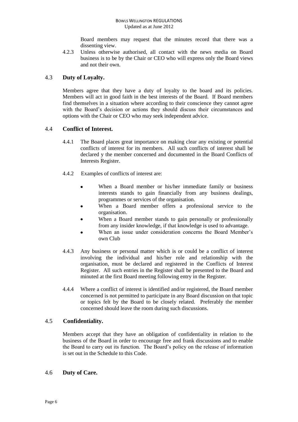Board members may request that the minutes record that there was a dissenting view.

4.2.3 Unless otherwise authorised, all contact with the news media on Board business is to be by the Chair or CEO who will express only the Board views and not their own.

#### 4.3 **Duty of Loyalty.**

Members agree that they have a duty of loyalty to the board and its policies. Members will act in good faith in the best interests of the Board. If Board members find themselves in a situation where according to their conscience they cannot agree with the Board's decision or actions they should discuss their circumstances and options with the Chair or CEO who may seek independent advice.

#### 4.4 **Conflict of Interest.**

- 4.4.1 The Board places great importance on making clear any existing or potential conflicts of interest for its members. All such conflicts of interest shall be declared y the member concerned and documented in the Board Conflicts of Interests Register.
- 4.4.2 Examples of conflicts of interest are:
	- When a Board member or his/her immediate family or business  $\bullet$ interests stands to gain financially from any business dealings, programmes or services of the organisation.
	- When a Board member offers a professional service to the organisation.
	- When a Board member stands to gain personally or professionally from any insider knowledge, if that knowledge is used to advantage.
	- When an issue under consideration concerns the Board Member's own Club
- 4.4.3 Any business or personal matter which is or could be a conflict of interest involving the individual and his/her role and relationship with the organisation, must be declared and registered in the Conflicts of Interest Register. All such entries in the Register shall be presented to the Board and minuted at the first Board meeting following entry in the Register.
- 4.4.4 Where a conflict of interest is identified and/or registered, the Board member concerned is not permitted to participate in any Board discussion on that topic or topics felt by the Board to be closely related. Preferably the member concerned should leave the room during such discussions.

#### 4.5 **Confidentiality.**

Members accept that they have an obligation of confidentiality in relation to the business of the Board in order to encourage free and frank discussions and to enable the Board to carry out its function. The Board's policy on the release of information is set out in the Schedule to this Code.

#### 4.6 **Duty of Care.**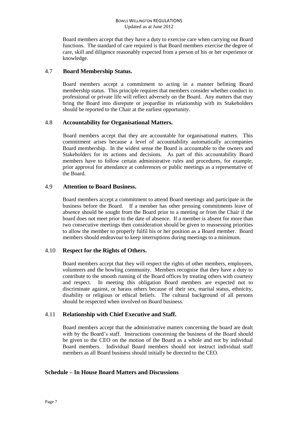Board members accept that they have a duty to exercise care when carrying out Board functions. The standard of care required is that Board members exercise the degree of care, skill and diligence reasonably expected from a person of his or her experience or knowledge.

#### 4.7 **Board Membership Status.**

Board members accept a commitment to acting in a manner befitting Board membership status. This principle requires that members consider whether conduct in professional or private life will reflect adversely on the Board. Any matters that may bring the Board into disrepute or jeopardise its relationship with its Stakeholders should be reported to the Chair at the earliest opportunity.

#### 4.8 **Accountability for Organisational Matters.**

Board members accept that they are accountable for organisational matters. This commitment arises because a level of accountability automatically accompanies Board membership. In the widest sense the Board is accountable to the owners and Stakeholders for its actions and decisions. As part of this accountability Board members have to follow certain administrative rules and procedures, for example, prior approval for attendance at conferences or public meetings as a representative of the Board.

#### 4.9 **Attention to Board Business.**

Board members accept a commitment to attend Board meetings and participate in the business before the Board. If a member has other pressing commitments leave of absence should be sought from the Board prior to a meeting or from the Chair if the board does not meet prior to the date of absence. If a member is absent for more than two consecutive meetings then consideration should be given to reassessing priorities to allow the member to properly fulfil his or her position as a Board member. Board members should endeavour to keep interruptions during meetings to a minimum.

### 4.10 **Respect for the Rights of Others.**

Board members accept that they will respect the rights of other members, employees, volunteers and the bowling community. Members recognise that they have a duty to contribute to the smooth running of the Board offices by treating others with courtesy and respect. In meeting this obligation Board members are expected not to discriminate against, or harass others because of their sex, marital status, ethnicity, disability or religious or ethical beliefs. The cultural background of all persons should be respected when involved on Board business.

### 4.11 **Relationship with Chief Executive and Staff.**

Board members accept that the administrative matters concerning the board are dealt with by the Board's staff. Instructions concerning the business of the Board should be given to the CEO on the motion of the Board as a whole and not by individual Board members. Individual Board members should not instruct individual staff members as all Board business should initially be directed to the CEO.

#### **Schedule – In House Board Matters and Discussions**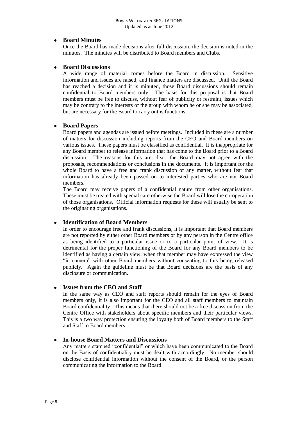#### **Board Minutes**

Once the Board has made decisions after full discussion, the decision is noted in the minutes. The minutes will be distributed to Board members and Clubs.

#### **Board Discussions**  $\bullet$

A wide range of material comes before the Board in discussion. Sensitive information and issues are raised, and finance matters are discussed. Until the Board has reached a decision and it is minuted, those Board discussions should remain confidential to Board members only. The basis for this proposal is that Board members must be free to discuss, without fear of publicity or restraint, issues which may be contrary to the interests of the group with whom he or she may be associated, but are necessary for the Board to carry out is functions.

#### **Board Papers**  $\bullet$

Board papers and agendas are issued before meetings. Included in these are a number of matters for discussion including reports from the CEO and Board members on various issues. These papers must be classified as confidential. It is inappropriate for any Board member to release information that has come to the Board prior to a Board discussion. The reasons for this are clear: the Board may not agree with the proposals, recommendations or conclusions in the documents. It is important for the whole Board to have a free and frank discussion of any matter, without fear that information has already been passed on to interested parties who are not Board members.

The Board may receive papers of a confidential nature from other organisations. These must be treated with special care otherwise the Board will lose the co-operation of those organisations. Official information requests for these will usually be sent to the originating organisations.

#### **Identification of Board Members**  $\bullet$

In order to encourage free and frank discussions, it is important that Board members are not reported by either other Board members or by any person in the Centre office as being identified to a particular issue or to a particular point of view. It is detrimental for the proper functioning of the Board for any Board members to be identified as having a certain view, when that member may have expressed the view "in camera" with other Board members without consenting to this being released publicly. Again the guideline must be that Board decisions are the basis of any disclosure or communication.

#### **Issues from the CEO and Staff**

In the same way as CEO and staff reports should remain for the eyes of Board members only, it is also important for the CEO and all staff members to maintain Board confidentiality. This means that there should not be a free discussion from the Centre Office with stakeholders about specific members and their particular views. This is a two way protection ensuring the loyalty both of Board members to the Staff and Staff to Board members.

#### **In-house Board Matters and Discussions**  $\bullet$

Any matters stamped "confidential" or which have been communicated to the Board on the Basis of confidentiality must be dealt with accordingly. No member should disclose confidential information without the consent of the Board, or the person communicating the information to the Board.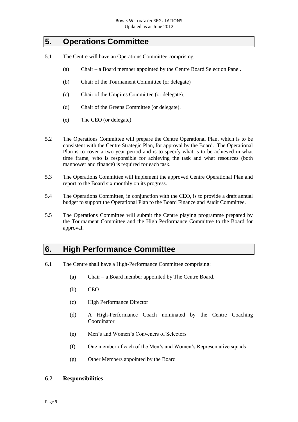### <span id="page-8-0"></span>**5. Operations Committee**

- 5.1 The Centre will have an Operations Committee comprising:
	- (a) Chair a Board member appointed by the Centre Board Selection Panel.
	- (b) Chair of the Tournament Committee (or delegate)
	- (c) Chair of the Umpires Committee (or delegate).
	- (d) Chair of the Greens Committee (or delegate).
	- (e) The CEO (or delegate).
- 5.2 The Operations Committee will prepare the Centre Operational Plan, which is to be consistent with the Centre Strategic Plan, for approval by the Board. The Operational Plan is to cover a two year period and is to specify what is to be achieved in what time frame, who is responsible for achieving the task and what resources (both manpower and finance) is required for each task.
- 5.3 The Operations Committee will implement the approved Centre Operational Plan and report to the Board six monthly on its progress.
- 5.4 The Operations Committee, in conjunction with the CEO, is to provide a draft annual budget to support the Operational Plan to the Board Finance and Audit Committee.
- 5.5 The Operations Committee will submit the Centre playing programme prepared by the Tournament Committee and the High Performance Committee to the Board for approval.

### <span id="page-8-1"></span>**6. High Performance Committee**

- 6.1 The Centre shall have a High-Performance Committee comprising:
	- (a) Chair a Board member appointed by The Centre Board.
	- (b) CEO
	- (c) High Performance Director
	- (d) A High-Performance Coach nominated by the Centre Coaching Coordinator
	- (e) Men's and Women's Conveners of Selectors
	- (f) One member of each of the Men's and Women's Representative squads
	- (g) Other Members appointed by the Board

#### 6.2 **Responsibilities**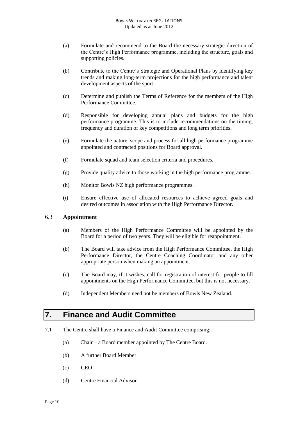#### BOWLS WELLINGTON REGULATIONS Updated as at June 2012

- (a) Formulate and recommend to the Board the necessary strategic direction of the Centre's High Performance programme, including the structure, goals and supporting policies.
- (b) Contribute to the Centre's Strategic and Operational Plans by identifying key trends and making long-term projections for the high performance and talent development aspects of the sport.
- (c) Determine and publish the Terms of Reference for the members of the High Performance Committee.
- (d) Responsible for developing annual plans and budgets for the high performance programme. This is to include recommendations on the timing, frequency and duration of key competitions and long term priorities.
- (e) Formulate the nature, scope and process for all high performance programme appointed and contracted positions for Board approval.
- (f) Formulate squad and team selection criteria and procedures.
- (g) Provide quality advice to those working in the high performance programme.
- (h) Monitor Bowls NZ high performance programmes.
- (i) Ensure effective use of allocated resources to achieve agreed goals and desired outcomes in association with the High Performance Director.

#### 6.3 **Appointment**

- (a) Members of the High Performance Committee will be appointed by the Board for a period of two years. They will be eligible for reappointment.
- (b) The Board will take advice from the High Performance Committee, the High Performance Director, the Centre Coaching Coordinator and any other appropriate person when making an appointment.
- (c) The Board may, if it wishes, call for registration of interest for people to fill appointments on the High Performance Committee, but this is not necessary.
- (d) Independent Members need not be members of Bowls New Zealand.

### <span id="page-9-0"></span>**7. Finance and Audit Committee**

- 7.1 The Centre shall have a Finance and Audit Committee comprising:
	- (a) Chair a Board member appointed by The Centre Board.
	- (b) A further Board Member
	- (c) CEO
	- (d) Centre Financial Advisor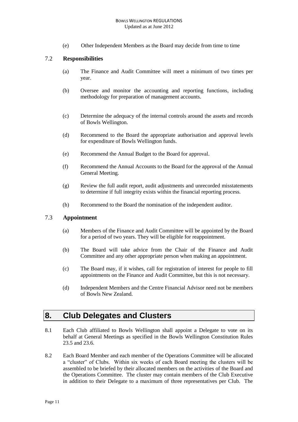(e) Other Independent Members as the Board may decide from time to time

#### 7.2 **Responsibilities**

- (a) The Finance and Audit Committee will meet a minimum of two times per year.
- (b) Oversee and monitor the accounting and reporting functions, including methodology for preparation of management accounts.
- (c) Determine the adequacy of the internal controls around the assets and records of Bowls Wellington.
- (d) Recommend to the Board the appropriate authorisation and approval levels for expenditure of Bowls Wellington funds.
- (e) Recommend the Annual Budget to the Board for approval.
- (f) Recommend the Annual Accounts to the Board for the approval of the Annual General Meeting.
- (g) Review the full audit report, audit adjustments and unrecorded misstatements to determine if full integrity exists within the financial reporting process.
- (h) Recommend to the Board the nomination of the independent auditor.

#### 7.3 **Appointment**

- (a) Members of the Finance and Audit Committee will be appointed by the Board for a period of two years. They will be eligible for reappointment.
- (b) The Board will take advice from the Chair of the Finance and Audit Committee and any other appropriate person when making an appointment.
- (c) The Board may, if it wishes, call for registration of interest for people to fill appointments on the Finance and Audit Committee, but this is not necessary.
- (d) Independent Members and the Centre Financial Advisor need not be members of Bowls New Zealand.

### <span id="page-10-0"></span>**8. Club Delegates and Clusters**

- 8.1 Each Club affiliated to Bowls Wellington shall appoint a Delegate to vote on its behalf at General Meetings as specified in the Bowls Wellington Constitution Rules 23.5 and 23.6.
- 8.2 Each Board Member and each member of the Operations Committee will be allocated a "cluster" of Clubs. Within six weeks of each Board meeting the clusters will be assembled to be briefed by their allocated members on the activities of the Board and the Operations Committee. The cluster may contain members of the Club Executive in addition to their Delegate to a maximum of three representatives per Club. The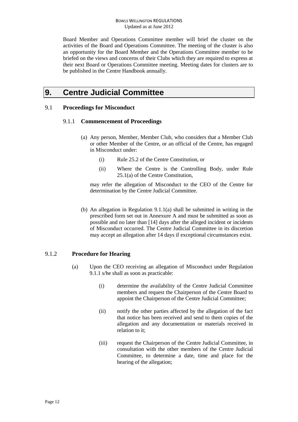Board Member and Operations Committee member will brief the cluster on the activities of the Board and Operations Committee. The meeting of the cluster is also an opportunity for the Board Member and the Operations Committee member to be briefed on the views and concerns of their Clubs which they are required to express at their next Board or Operations Committee meeting. Meeting dates for clusters are to be published in the Centre Handbook annually.

## <span id="page-11-0"></span>**9. Centre Judicial Committee**

#### 9.1 **Proceedings for Misconduct**

#### 9.1.1 **Commencement of Proceedings**

- (a) Any person, Member, Member Club, who considers that a Member Club or other Member of the Centre, or an official of the Centre, has engaged in Misconduct under:
	- (i) Rule 25.2 of the Centre Constitution, or
	- (ii) Where the Centre is the Controlling Body, under Rule 25.1(a) of the Centre Constitution,

may refer the allegation of Misconduct to the CEO of the Centre for determination by the Centre Judicial Committee.

(b) An allegation in Regulation 9.1.1(a) shall be submitted in writing in the prescribed form set out in Annexure A and must be submitted as soon as possible and no later than [14] days after the alleged incident or incidents of Misconduct occurred. The Centre Judicial Committee in its discretion may accept an allegation after 14 days if exceptional circumstances exist.

### 9.1.2 **Procedure for Hearing**

- (a) Upon the CEO receiving an allegation of Misconduct under Regulation 9.1.1 s/he shall as soon as practicable:
	- (i) determine the availability of the Centre Judicial Committee members and request the Chairperson of the Centre Board to appoint the Chairperson of the Centre Judicial Committee;
	- (ii) notify the other parties affected by the allegation of the fact that notice has been received and send to them copies of the allegation and any documentation or materials received in relation to it;
	- (iii) request the Chairperson of the Centre Judicial Committee, in consultation with the other members of the Centre Judicial Committee, to determine a date, time and place for the hearing of the allegation;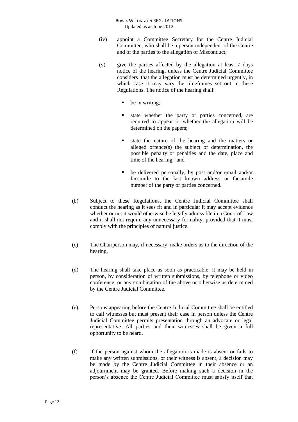- (iv) appoint a Committee Secretary for the Centre Judicial Committee, who shall be a person independent of the Centre and of the parties to the allegation of Misconduct;
- (v) give the parties affected by the allegation at least 7 days notice of the hearing, unless the Centre Judicial Committee considers that the allegation must be determined urgently, in which case it may vary the timeframes set out in these Regulations. The notice of the hearing shall:
	- be in writing;
	- state whether the party or parties concerned, are required to appear or whether the allegation will be determined on the papers;
	- state the nature of the hearing and the matters or alleged offence(s) the subject of determination, the possible penalty or penalties and the date, place and time of the hearing; and
	- be delivered personally, by post and/or email and/or facsimile to the last known address or facsimile number of the party or parties concerned.
- (b) Subject to these Regulations, the Centre Judicial Committee shall conduct the hearing as it sees fit and in particular it may accept evidence whether or not it would otherwise be legally admissible in a Court of Law and it shall not require any unnecessary formality, provided that it must comply with the principles of natural justice.
- (c) The Chairperson may, if necessary, make orders as to the direction of the hearing.
- (d) The hearing shall take place as soon as practicable. It may be held in person, by consideration of written submissions, by telephone or video conference, or any combination of the above or otherwise as determined by the Centre Judicial Committee.
- (e) Persons appearing before the Centre Judicial Committee shall be entitled to call witnesses but must present their case in person unless the Centre Judicial Committee permits presentation through an advocate or legal representative. All parties and their witnesses shall be given a full opportunity to be heard.
- (f) If the person against whom the allegation is made is absent or fails to make any written submissions, or their witness is absent, a decision may be made by the Centre Judicial Committee in their absence or an adjournment may be granted. Before making such a decision in the person's absence the Centre Judicial Committee must satisfy itself that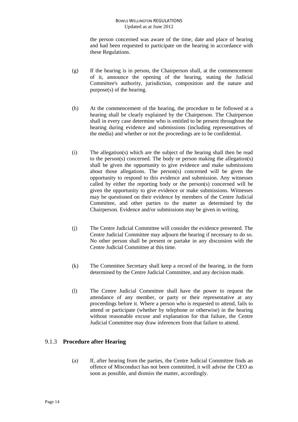the person concerned was aware of the time, date and place of hearing and had been requested to participate on the hearing in accordance with these Regulations.

- (g) If the hearing is in person, the Chairperson shall, at the commencement of it, announce the opening of the hearing, stating the Judicial Committee's authority, jurisdiction, composition and the nature and purpose(s) of the hearing.
- (h) At the commencement of the hearing, the procedure to be followed at a hearing shall be clearly explained by the Chairperson. The Chairperson shall in every case determine who is entitled to be present throughout the hearing during evidence and submissions (including representatives of the media) and whether or not the proceedings are to be confidential.
- (i) The allegation(s) which are the subject of the hearing shall then be read to the person(s) concerned. The body or person making the allegation(s) shall be given the opportunity to give evidence and make submissions about those allegations. The person(s) concerned will be given the opportunity to respond to this evidence and submission. Any witnesses called by either the reporting body or the person(s) concerned will be given the opportunity to give evidence or make submissions. Witnesses may be questioned on their evidence by members of the Centre Judicial Committee, and other parties to the matter as determined by the Chairperson. Evidence and/or submissions may be given in writing.
- (j) The Centre Judicial Committee will consider the evidence presented. The Centre Judicial Committee may adjourn the hearing if necessary to do so. No other person shall be present or partake in any discussion with the Centre Judicial Committee at this time.
- (k) The Committee Secretary shall keep a record of the hearing, in the form determined by the Centre Judicial Committee, and any decision made.
- (l) The Centre Judicial Committee shall have the power to request the attendance of any member, or party or their representative at any proceedings before it. Where a person who is requested to attend, fails to attend or participate (whether by telephone or otherwise) in the hearing without reasonable excuse and explanation for that failure, the Centre Judicial Committee may draw inferences from that failure to attend.

### 9.1.3 **Procedure after Hearing**

(a) If, after hearing from the parties, the Centre Judicial Committee finds an offence of Misconduct has not been committed, it will advise the CEO as soon as possible, and dismiss the matter, accordingly.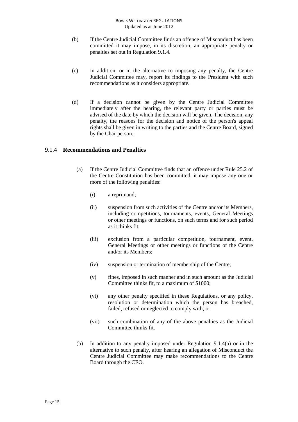- (b) If the Centre Judicial Committee finds an offence of Misconduct has been committed it may impose, in its discretion, an appropriate penalty or penalties set out in Regulation 9.1.4.
- (c) In addition, or in the alternative to imposing any penalty, the Centre Judicial Committee may, report its findings to the President with such recommendations as it considers appropriate.
- (d) If a decision cannot be given by the Centre Judicial Committee immediately after the hearing, the relevant party or parties must be advised of the date by which the decision will be given. The decision, any penalty, the reasons for the decision and notice of the person's appeal rights shall be given in writing to the parties and the Centre Board, signed by the Chairperson.

#### 9.1.4 **Recommendations and Penalties**

- (a) If the Centre Judicial Committee finds that an offence under Rule 25.2 of the Centre Constitution has been committed, it may impose any one or more of the following penalties:
	- (i) a reprimand;
	- (ii) suspension from such activities of the Centre and/or its Members, including competitions, tournaments, events, General Meetings or other meetings or functions, on such terms and for such period as it thinks fit;
	- (iii) exclusion from a particular competition, tournament, event, General Meetings or other meetings or functions of the Centre and/or its Members;
	- (iv) suspension or termination of membership of the Centre;
	- (v) fines, imposed in such manner and in such amount as the Judicial Committee thinks fit, to a maximum of \$1000;
	- (vi) any other penalty specified in these Regulations, or any policy, resolution or determination which the person has breached, failed, refused or neglected to comply with; or
	- (vii) such combination of any of the above penalties as the Judicial Committee thinks fit.
- (b) In addition to any penalty imposed under Regulation 9.1.4(a) or in the alternative to such penalty, after hearing an allegation of Misconduct the Centre Judicial Committee may make recommendations to the Centre Board through the CEO.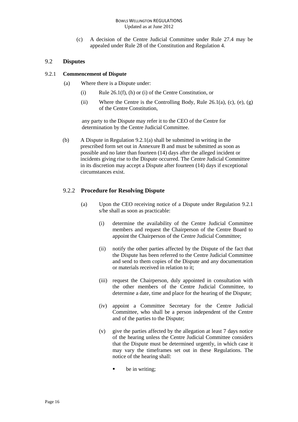(c) A decision of the Centre Judicial Committee under Rule 27.4 may be appealed under Rule 28 of the Constitution and Regulation 4.

#### 9.2 **Disputes**

#### 9.2.1 **Commencement of Dispute**

- (a) Where there is a Dispute under:
	- (i) Rule 26.1(f), (h) or (i) of the Centre Constitution, or
	- (ii) Where the Centre is the Controlling Body, Rule 26.1(a), (c), (e), (g) of the Centre Constitution,

any party to the Dispute may refer it to the CEO of the Centre for determination by the Centre Judicial Committee.

(b) A Dispute in Regulation 9.2.1(a) shall be submitted in writing in the prescribed form set out in Annexure B and must be submitted as soon as possible and no later than fourteen (14) days after the alleged incident or incidents giving rise to the Dispute occurred. The Centre Judicial Committee in its discretion may accept a Dispute after fourteen (14) days if exceptional circumstances exist.

#### 9.2.2 **Procedure for Resolving Dispute**

- (a) Upon the CEO receiving notice of a Dispute under Regulation 9.2.1 s/he shall as soon as practicable:
	- (i) determine the availability of the Centre Judicial Committee members and request the Chairperson of the Centre Board to appoint the Chairperson of the Centre Judicial Committee;
	- (ii) notify the other parties affected by the Dispute of the fact that the Dispute has been referred to the Centre Judicial Committee and send to them copies of the Dispute and any documentation or materials received in relation to it;
	- (iii) request the Chairperson, duly appointed in consultation with the other members of the Centre Judicial Committee, to determine a date, time and place for the hearing of the Dispute;
	- (iv) appoint a Committee Secretary for the Centre Judicial Committee, who shall be a person independent of the Centre and of the parties to the Dispute;
	- (v) give the parties affected by the allegation at least 7 days notice of the hearing unless the Centre Judicial Committee considers that the Dispute must be determined urgently, in which case it may vary the timeframes set out in these Regulations. The notice of the hearing shall:
		- $\bullet$  be in writing;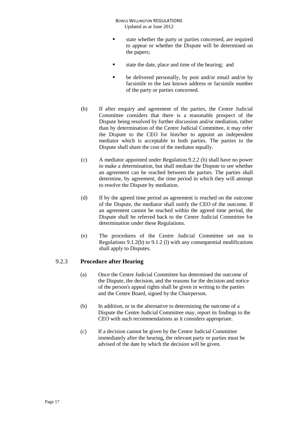BOWLS WELLINGTON REGULATIONS Updated as at June 2012

- state whether the party or parties concerned, are required to appear or whether the Dispute will be determined on the papers;
- state the date, place and time of the hearing; and
- **be delivered personally, by post and/or email and/or by** facsimile to the last known address or facsimile number of the party or parties concerned.
- (b) If after enquiry and agreement of the parties, the Centre Judicial Committee considers that there is a reasonable prospect of the Dispute being resolved by further discussion and/or mediation, rather than by determination of the Centre Judicial Committee, it may refer the Dispute to the CEO for him/her to appoint an independent mediator which is acceptable to both parties. The parties to the Dispute shall share the cost of the mediator equally.
- (c) A mediator appointed under Regulation.9.2.2 (b) shall have no power to make a determination, but shall mediate the Dispute to see whether an agreement can be reached between the parties. The parties shall determine, by agreement, the time period in which they will attempt to resolve the Dispute by mediation.
- (d) If by the agreed time period an agreement is reached on the outcome of the Dispute, the mediator shall notify the CEO of the outcome. If an agreement cannot be reached within the agreed time period, the Dispute shall be referred back to the Centre Judicial Committee for determination under these Regulations.
- (e) The procedures of the Centre Judicial Committee set out in Regulations 9.1.2(b) to 9.1.2 (l) with any consequential modifications shall apply to Disputes.

#### 9.2.3 **Procedure after Hearing**

- (a) Once the Centre Judicial Committee has determined the outcome of the Dispute, the decision, and the reasons for the decision and notice of the person's appeal rights shall be given in writing to the parties and the Centre Board, signed by the Chairperson.
- (b) In addition, or in the alternative to determining the outcome of a Dispute the Centre Judicial Committee may, report its findings to the CEO with such recommendations as it considers appropriate.
- (c) If a decision cannot be given by the Centre Judicial Committee immediately after the hearing, the relevant party or parties must be advised of the date by which the decision will be given.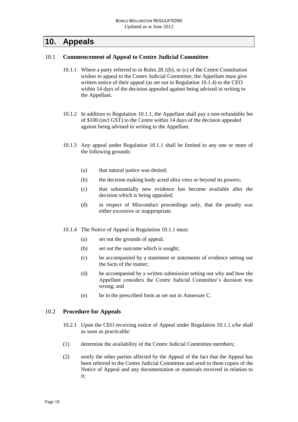## <span id="page-17-0"></span>**10. Appeals**

#### 10.1 **Commencement of Appeal to Centre Judicial Committee**

- 10.1.1 Where a party referred to in Rules 28.1(b), or (c) of the Centre Constitution wishes to appeal to the Centre Judicial Committee, the Appellant must give written notice of their appeal (as set out in Regulation 10.1.4) to the CEO within 14 days of the decision appealed against being advised in writing to the Appellant.
- 10.1.2 In addition to Regulation 10.1.1, the Appellant shall pay a non-refundable fee of \$100 (incl GST) to the Centre within 14 days of the decision appealed against being advised in writing to the Appellant.
- 10.1.3 Any appeal under Regulation 10.1.1 shall be limited to any one or more of the following grounds:
	- (a) that natural justice was denied;
	- (b) the decision making body acted ultra vires or beyond its powers;
	- (c) that substantially new evidence has become available after the decision which is being appealed;
	- (d) in respect of Misconduct proceedings only, that the penalty was either excessive or inappropriate.
- 10.1.4 The Notice of Appeal in Regulation 10.1.1 must:
	- (a) set out the grounds of appeal;
	- (b) set out the outcome which is sought;
	- (c) be accompanied by a statement or statements of evidence setting out the facts of the matter;
	- (d) be accompanied by a written submission setting out why and how the Appellant considers the Centre Judicial Committee's decision was wrong; and
	- (e) be in the prescribed form as set out in Annexure C.

#### 10.2 **Procedure for Appeals**

- 10.2.1 Upon the CEO receiving notice of Appeal under Regulation 10.1.1 s/he shall as soon as practicable:
- (1) determine the availability of the Centre Judicial Committee members;
- (2) notify the other parties affected by the Appeal of the fact that the Appeal has been referred to the Centre Judicial Committee and send to them copies of the Notice of Appeal and any documentation or materials received in relation to it;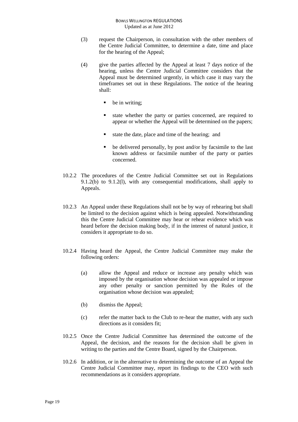- (3) request the Chairperson, in consultation with the other members of the Centre Judicial Committee, to determine a date, time and place for the hearing of the Appeal;
- (4) give the parties affected by the Appeal at least 7 days notice of the hearing, unless the Centre Judicial Committee considers that the Appeal must be determined urgently, in which case it may vary the timeframes set out in these Regulations. The notice of the hearing shall:
	- $\blacksquare$  be in writing;
	- state whether the party or parties concerned, are required to appear or whether the Appeal will be determined on the papers;
	- state the date, place and time of the hearing; and
	- be delivered personally, by post and/or by facsimile to the last known address or facsimile number of the party or parties concerned.
- 10.2.2 The procedures of the Centre Judicial Committee set out in Regulations 9.1.2(b) to 9.1.2(l), with any consequential modifications, shall apply to Appeals.
- 10.2.3 An Appeal under these Regulations shall not be by way of rehearing but shall be limited to the decision against which is being appealed. Notwithstanding this the Centre Judicial Committee may hear or rehear evidence which was heard before the decision making body, if in the interest of natural justice, it considers it appropriate to do so.
- 10.2.4 Having heard the Appeal, the Centre Judicial Committee may make the following orders:
	- (a) allow the Appeal and reduce or increase any penalty which was imposed by the organisation whose decision was appealed or impose any other penalty or sanction permitted by the Rules of the organisation whose decision was appealed;
	- (b) dismiss the Appeal;
	- (c) refer the matter back to the Club to re-hear the matter, with any such directions as it considers fit;
- 10.2.5 Once the Centre Judicial Committee has determined the outcome of the Appeal, the decision, and the reasons for the decision shall be given in writing to the parties and the Centre Board, signed by the Chairperson.
- 10.2.6 In addition, or in the alternative to determining the outcome of an Appeal the Centre Judicial Committee may, report its findings to the CEO with such recommendations as it considers appropriate.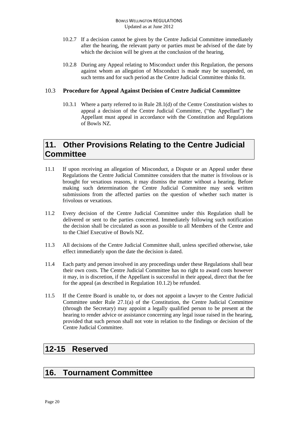- 10.2.7 If a decision cannot be given by the Centre Judicial Committee immediately after the hearing, the relevant party or parties must be advised of the date by which the decision will be given at the conclusion of the hearing,
- 10.2.8 During any Appeal relating to Misconduct under this Regulation, the persons against whom an allegation of Misconduct is made may be suspended, on such terms and for such period as the Centre Judicial Committee thinks fit.

#### 10.3 **Procedure for Appeal Against Decision of Centre Judicial Committee**

10.3.1 Where a party referred to in Rule 28.1(d) of the Centre Constitution wishes to appeal a decision of the Centre Judicial Committee, ("the Appellant") the Appellant must appeal in accordance with the Constitution and Regulations of Bowls NZ.

### <span id="page-19-0"></span>**11. Other Provisions Relating to the Centre Judicial Committee**

- 11.1 If upon receiving an allegation of Misconduct, a Dispute or an Appeal under these Regulations the Centre Judicial Committee considers that the matter is frivolous or is brought for vexatious reasons, it may dismiss the matter without a hearing. Before making such determination the Centre Judicial Committee may seek written submissions from the affected parties on the question of whether such matter is frivolous or vexatious.
- 11.2 Every decision of the Centre Judicial Committee under this Regulation shall be delivered or sent to the parties concerned. Immediately following such notification the decision shall be circulated as soon as possible to all Members of the Centre and to the Chief Executive of Bowls NZ.
- 11.3 All decisions of the Centre Judicial Committee shall, unless specified otherwise, take effect immediately upon the date the decision is dated.
- 11.4 Each party and person involved in any proceedings under these Regulations shall bear their own costs. The Centre Judicial Committee has no right to award costs however it may, in is discretion, if the Appellant is successful in their appeal, direct that the fee for the appeal (as described in Regulation 10.1.2) be refunded.
- 11.5 If the Centre Board is unable to, or does not appoint a lawyer to the Centre Judicial Committee under Rule 27.1(a) of the Constitution, the Centre Judicial Committee (through the Secretary) may appoint a legally qualified person to be present at the hearing to render advice or assistance concerning any legal issue raised in the hearing, provided that such person shall not vote in relation to the findings or decision of the Centre Judicial Committee.

### <span id="page-19-1"></span>**12-15 Reserved**

### <span id="page-19-2"></span>**16. Tournament Committee**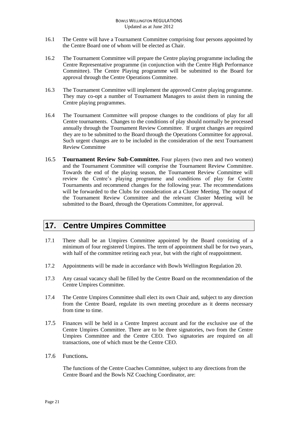- 16.1 The Centre will have a Tournament Committee comprising four persons appointed by the Centre Board one of whom will be elected as Chair.
- 16.2 The Tournament Committee will prepare the Centre playing programme including the Centre Representative programme (in conjunction with the Centre High Performance Committee). The Centre Playing programme will be submitted to the Board for approval through the Centre Operations Committee.
- 16.3 The Tournament Committee will implement the approved Centre playing programme. They may co-opt a number of Tournament Managers to assist them in running the Centre playing programmes.
- 16.4 The Tournament Committee will propose changes to the conditions of play for all Centre tournaments. Changes to the conditions of play should normally be processed annually through the Tournament Review Committee. If urgent changes are required they are to be submitted to the Board through the Operations Committee for approval. Such urgent changes are to be included in the consideration of the next Tournament Review Committee
- 16.5 **Tournament Review Sub-Committee.** Four players (two men and two women) and the Tournament Committee will comprise the Tournament Review Committee. Towards the end of the playing season, the Tournament Review Committee will review the Centre's playing programme and conditions of play for Centre Tournaments and recommend changes for the following year. The recommendations will be forwarded to the Clubs for consideration at a Cluster Meeting. The output of the Tournament Review Committee and the relevant Cluster Meeting will be submitted to the Board, through the Operations Committee, for approval.

## <span id="page-20-0"></span>**17. Centre Umpires Committee**

- 17.1 There shall be an Umpires Committee appointed by the Board consisting of a minimum of four registered Umpires. The term of appointment shall be for two years, with half of the committee retiring each year, but with the right of reappointment.
- 17.2 Appointments will be made in accordance with Bowls Wellington Regulation 20.
- 17.3 Any casual vacancy shall be filled by the Centre Board on the recommendation of the Centre Umpires Committee.
- 17.4 The Centre Umpires Committee shall elect its own Chair and, subject to any direction from the Centre Board, regulate its own meeting procedure as it deems necessary from time to time.
- 17.5 Finances will be held in a Centre Imprest account and for the exclusive use of the Centre Umpires Committee. There are to be three signatories, two from the Centre Umpires Committee and the Centre CEO. Two signatories are required on all transactions, one of which must be the Centre CEO.
- 17.6 Functions**.**

The functions of the Centre Coaches Committee, subject to any directions from the Centre Board and the Bowls NZ Coaching Coordinator, are: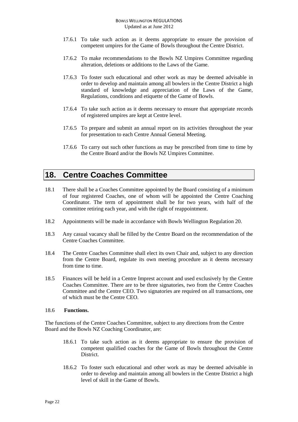- 17.6.1 To take such action as it deems appropriate to ensure the provision of competent umpires for the Game of Bowls throughout the Centre District.
- 17.6.2 To make recommendations to the Bowls NZ Umpires Committee regarding alteration, deletions or additions to the Laws of the Game.
- 17.6.3 To foster such educational and other work as may be deemed advisable in order to develop and maintain among all bowlers in the Centre District a high standard of knowledge and appreciation of the Laws of the Game, Regulations, conditions and etiquette of the Game of Bowls.
- 17.6.4 To take such action as it deems necessary to ensure that appropriate records of registered umpires are kept at Centre level.
- 17.6.5 To prepare and submit an annual report on its activities throughout the year for presentation to each Centre Annual General Meeting.
- 17.6.6 To carry out such other functions as may be prescribed from time to time by the Centre Board and/or the Bowls NZ Umpires Committee.

### <span id="page-21-0"></span>**18. Centre Coaches Committee**

- 18.1 There shall be a Coaches Committee appointed by the Board consisting of a minimum of four registered Coaches, one of whom will be appointed the Centre Coaching Coordinator. The term of appointment shall be for two years, with half of the committee retiring each year, and with the right of reappointment.
- 18.2 Appointments will be made in accordance with Bowls Wellington Regulation 20.
- 18.3 Any casual vacancy shall be filled by the Centre Board on the recommendation of the Centre Coaches Committee.
- 18.4 The Centre Coaches Committee shall elect its own Chair and, subject to any direction from the Centre Board, regulate its own meeting procedure as it deems necessary from time to time.
- 18.5 Finances will be held in a Centre Imprest account and used exclusively by the Centre Coaches Committee. There are to be three signatories, two from the Centre Coaches Committee and the Centre CEO. Two signatories are required on all transactions, one of which must be the Centre CEO.

#### 18.6 **Functions.**

The functions of the Centre Coaches Committee, subject to any directions from the Centre Board and the Bowls NZ Coaching Coordinator, are:

- 18.6.1 To take such action as it deems appropriate to ensure the provision of competent qualified coaches for the Game of Bowls throughout the Centre District.
- 18.6.2 To foster such educational and other work as may be deemed advisable in order to develop and maintain among all bowlers in the Centre District a high level of skill in the Game of Bowls.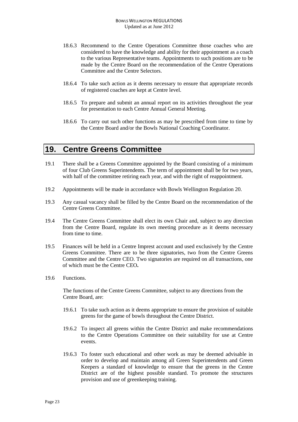- 18.6.3 Recommend to the Centre Operations Committee those coaches who are considered to have the knowledge and ability for their appointment as a coach to the various Representative teams. Appointments to such positions are to be made by the Centre Board on the recommendation of the Centre Operations Committee and the Centre Selectors.
- 18.6.4 To take such action as it deems necessary to ensure that appropriate records of registered coaches are kept at Centre level.
- 18.6.5 To prepare and submit an annual report on its activities throughout the year for presentation to each Centre Annual General Meeting.
- 18.6.6 To carry out such other functions as may be prescribed from time to time by the Centre Board and/or the Bowls National Coaching Coordinator.

### <span id="page-22-0"></span>**19. Centre Greens Committee**

- 19.1 There shall be a Greens Committee appointed by the Board consisting of a minimum of four Club Greens Superintendents. The term of appointment shall be for two years, with half of the committee retiring each year, and with the right of reappointment.
- 19.2 Appointments will be made in accordance with Bowls Wellington Regulation 20.
- 19.3 Any casual vacancy shall be filled by the Centre Board on the recommendation of the Centre Greens Committee.
- 19.4 The Centre Greens Committee shall elect its own Chair and, subject to any direction from the Centre Board, regulate its own meeting procedure as it deems necessary from time to time.
- 19.5 Finances will be held in a Centre Imprest account and used exclusively by the Centre Greens Committee. There are to be three signatories, two from the Centre Greens Committee and the Centre CEO. Two signatories are required on all transactions, one of which must be the Centre CEO**.**
- 19.6 Functions.

The functions of the Centre Greens Committee, subject to any directions from the Centre Board, are:

- 19.6.1 To take such action as it deems appropriate to ensure the provision of suitable greens for the game of bowls throughout the Centre District.
- 19.6.2 To inspect all greens within the Centre District and make recommendations to the Centre Operations Committee on their suitability for use at Centre events.
- 19.6.3 To foster such educational and other work as may be deemed advisable in order to develop and maintain among all Green Superintendents and Green Keepers a standard of knowledge to ensure that the greens in the Centre District are of the highest possible standard. To promote the structures provision and use of greenkeeping training.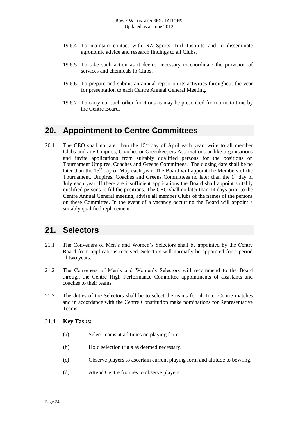- 19.6.4 To maintain contact with NZ Sports Turf Institute and to disseminate agronomic advice and research findings to all Clubs.
- 19.6.5 To take such action as it deems necessary to coordinate the provision of services and chemicals to Clubs.
- 19.6.6 To prepare and submit an annual report on its activities throughout the year for presentation to each Centre Annual General Meeting.
- 19.6.7 To carry out such other functions as may be prescribed from time to time by the Centre Board.

### <span id="page-23-0"></span>**20. Appointment to Centre Committees**

20.1 The CEO shall no later than the  $15<sup>th</sup>$  day of April each year, write to all member Clubs and any Umpires, Coaches or Greenkeepers Associations or like organisations and invite applications from suitably qualified persons for the positions on Tournament Umpires, Coaches and Greens Committees. The closing date shall be no later than the  $15<sup>th</sup>$  day of May each year. The Board will appoint the Members of the Tournament, Umpires, Coaches and Greens Committees no later than the 1<sup>st</sup> day of July each year. If there are insufficient applications the Board shall appoint suitably qualified persons to fill the positions. The CEO shall no later than 14 days prior to the Centre Annual General meeting, advise all member Clubs of the names of the persons on these Committee. In the event of a vacancy occurring the Board will appoint a suitably qualified replacement

### <span id="page-23-1"></span>**21. Selectors**

- 21.1 The Conveners of Men's and Women's Selectors shall be appointed by the Centre Board from applications received. Selectors will normally be appointed for a period of two years.
- 21.2 The Conveners of Men's and Women's Selectors will recommend to the Board through the Centre High Performance Committee appointments of assistants and coaches to their teams.
- 21.3 The duties of the Selectors shall be to select the teams for all Inter-Centre matches and in accordance with the Centre Constitution make nominations for Representative Teams.

#### 21.4 **Key Tasks:**

- (a) Select teams at all times on playing form.
- (b) Hold selection trials as deemed necessary.
- (c) Observe players to ascertain current playing form and attitude to bowling.
- (d) Attend Centre fixtures to observe players.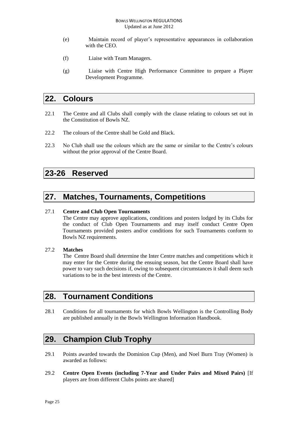- (e) Maintain record of player's representative appearances in collaboration with the CEO.
- (f) Liaise with Team Managers.
- (g) Liaise with Centre High Performance Committee to prepare a Player Development Programme.

### <span id="page-24-0"></span>**22. Colours**

- 22.1 The Centre and all Clubs shall comply with the clause relating to colours set out in the Constitution of Bowls NZ.
- 22.2 The colours of the Centre shall be Gold and Black.
- 22.3 No Club shall use the colours which are the same or similar to the Centre's colours without the prior approval of the Centre Board.

### <span id="page-24-1"></span>**23-26 Reserved**

### <span id="page-24-2"></span>**27. Matches, Tournaments, Competitions**

#### 27.1 **Centre and Club Open Tournaments**

The Centre may approve applications, conditions and posters lodged by its Clubs for the conduct of Club Open Tournaments and may itself conduct Centre Open Tournaments provided posters and/or conditions for such Tournaments conform to Bowls NZ requirements.

#### 27.2 **Matches**

The Centre Board shall determine the Inter Centre matches and competitions which it may enter for the Centre during the ensuing season, but the Centre Board shall have power to vary such decisions if, owing to subsequent circumstances it shall deem such variations to be in the best interests of the Centre.

### <span id="page-24-3"></span>**28. Tournament Conditions**

28.1 Conditions for all tournaments for which Bowls Wellington is the Controlling Body are published annually in the Bowls Wellington Information Handbook.

### <span id="page-24-4"></span>**29. Champion Club Trophy**

- 29.1 Points awarded towards the Dominion Cup (Men), and Noel Burn Tray (Women) is awarded as follows:
- 29.2 **Centre Open Events (including 7-Year and Under Pairs and Mixed Pairs)** [If players are from different Clubs points are shared]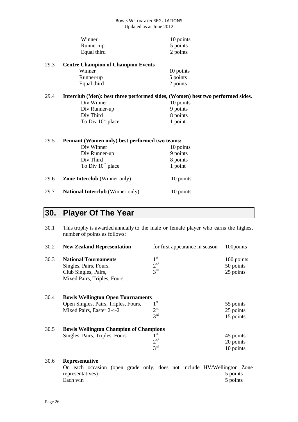| Winner      | 10 points |
|-------------|-----------|
| Runner-up   | 5 points  |
| Equal third | 2 points  |

29.3 **Centre Champion of Champion Events**

| Winner      | 10 points |
|-------------|-----------|
| Runner-up   | 5 points  |
| Equal third | 2 points  |

# 29.4 **Interclub (Men): best three performed sides, (Women) best two performed sides.**

Div Winner 10 point<br>Div Runner-up 9 points Div Runner-up 9 points<br>Div Third 8 points Div Third 8 points To Div  $10^{th}$  place  $1$  point

| 29.5 | Pennant (Women only) best performed two teams: |           |  |
|------|------------------------------------------------|-----------|--|
|      | Div Winner                                     | 10 points |  |
|      | Div Runner-up                                  | 9 points  |  |
|      | Div Third                                      | 8 points  |  |
|      | To Div 10 <sup>th</sup> place                  | 1 point   |  |
| 29.6 | <b>Zone Interclub</b> (Winner only)            | 10 points |  |
| 29.7 | <b>National Interclub</b> (Winner only)        | 10 points |  |

# <span id="page-25-0"></span>**30. Player Of The Year**

| 30.1 | This trophy is awarded annually to the male or female player who earns the highest<br>number of points as follows: |                                                       |                                      |
|------|--------------------------------------------------------------------------------------------------------------------|-------------------------------------------------------|--------------------------------------|
| 30.2 | <b>New Zealand Representation</b>                                                                                  | for first appearance in season                        | 100points                            |
| 30.3 | <b>National Tournaments</b><br>Singles, Pairs, Fours,<br>Club Singles, Pairs,<br>Mixed Pairs, Triples, Fours.      | 1 <sup>st</sup><br>2 <sup>nd</sup><br>3 <sup>rd</sup> | 100 points<br>50 points<br>25 points |
| 30.4 | <b>Bowls Wellington Open Tournaments</b><br>Open Singles, Pairs, Triples, Fours,<br>Mixed Pairs, Easter 2-4-2      | 1 <sup>st</sup><br>2 <sup>nd</sup><br>3 <sup>rd</sup> | 55 points<br>25 points<br>15 points  |
| 30.5 | <b>Bowls Wellington Champion of Champions</b><br>Singles, Pairs, Triples, Fours                                    | $1^{\rm st}$<br>2 <sup>nd</sup><br>3 <sup>rd</sup>    | 45 points<br>20 points<br>10 points  |
| 30.6 | Representative<br>On each occasion<br>representatives)<br>Each win                                                 | (open grade only, does not include HV/Wellington Zone | 5 points<br>5 points                 |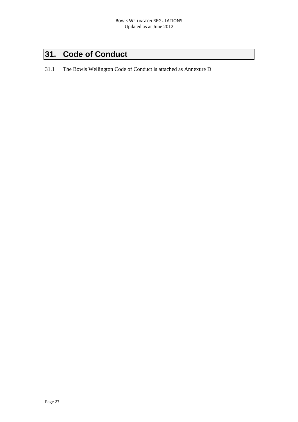# <span id="page-26-0"></span>**31. Code of Conduct**

31.1 The Bowls Wellington Code of Conduct is attached as Annexure D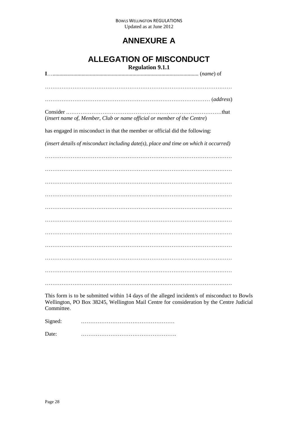## **ANNEXURE A**

# **ALLEGATION OF MISCONDUCT**

| <b>Regulation 9.1.1</b>                                                               |  |
|---------------------------------------------------------------------------------------|--|
| $I_{\ldots}$ (name) of                                                                |  |
|                                                                                       |  |
|                                                                                       |  |
|                                                                                       |  |
|                                                                                       |  |
|                                                                                       |  |
| Consider<br>. that                                                                    |  |
| (insert name of, Member, Club or name official or member of the Centre)               |  |
|                                                                                       |  |
| has engaged in misconduct in that the member or official did the following:           |  |
|                                                                                       |  |
| (insert details of misconduct including date(s), place and time on which it occurred) |  |
|                                                                                       |  |
|                                                                                       |  |
|                                                                                       |  |
|                                                                                       |  |
|                                                                                       |  |
|                                                                                       |  |
|                                                                                       |  |
|                                                                                       |  |
|                                                                                       |  |
|                                                                                       |  |
|                                                                                       |  |
|                                                                                       |  |
|                                                                                       |  |
|                                                                                       |  |
|                                                                                       |  |
|                                                                                       |  |
|                                                                                       |  |
|                                                                                       |  |
|                                                                                       |  |
|                                                                                       |  |
|                                                                                       |  |
|                                                                                       |  |

This form is to be submitted within 14 days of the alleged incident/s of misconduct to Bowls Wellington, PO Box 38245, Wellington Mail Centre for consideration by the Centre Judicial Committee.

Signed: ……………………………………………

Date: …………………………………………….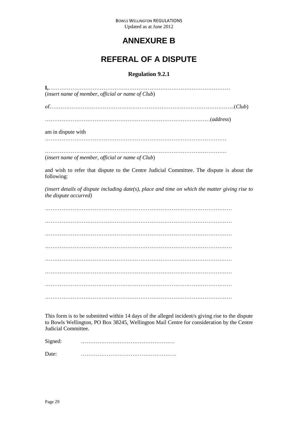### **ANNEXURE B**

## **REFERAL OF A DISPUTE**

### **Regulation 9.2.1**

| (insert name of member, official or name of Club)                                                                        |  |
|--------------------------------------------------------------------------------------------------------------------------|--|
|                                                                                                                          |  |
|                                                                                                                          |  |
| am in dispute with                                                                                                       |  |
| (insert name of member, official or name of Club)                                                                        |  |
| and wish to refer that dispute to the Centre Judicial Committee. The dispute is about the<br>following:                  |  |
| (insert details of dispute including date(s), place and time on which the matter giving rise to<br>the dispute occurred) |  |
|                                                                                                                          |  |
|                                                                                                                          |  |
|                                                                                                                          |  |
|                                                                                                                          |  |
|                                                                                                                          |  |
|                                                                                                                          |  |
|                                                                                                                          |  |
|                                                                                                                          |  |

This form is to be submitted within 14 days of the alleged incident/s giving rise to the dispute to Bowls Wellington, PO Box 38245, Wellington Mail Centre for consideration by the Centre Judicial Committee.

Signed: ……………………………………………

Date: …………………………………………….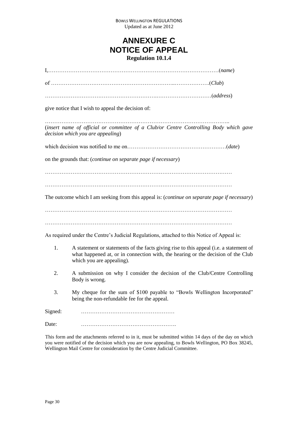### **ANNEXURE C NOTICE OF APPEAL Regulation 10.1.4**

|         | give notice that I wish to appeal the decision of:                                                                                                                                                      |
|---------|---------------------------------------------------------------------------------------------------------------------------------------------------------------------------------------------------------|
|         | (insert name of official or committee of a Club/or Centre Controlling Body which gave<br>decision which you are appealing)                                                                              |
|         |                                                                                                                                                                                                         |
|         | on the grounds that: (continue on separate page if necessary)                                                                                                                                           |
|         |                                                                                                                                                                                                         |
|         | The outcome which I am seeking from this appeal is: (continue on separate page if necessary)                                                                                                            |
|         |                                                                                                                                                                                                         |
|         | As required under the Centre's Judicial Regulations, attached to this Notice of Appeal is:                                                                                                              |
| 1.      | A statement or statements of the facts giving rise to this appeal (i.e. a statement of<br>what happened at, or in connection with, the hearing or the decision of the Club<br>which you are appealing). |
| 2.      | A submission on why I consider the decision of the Club/Centre Controlling<br>Body is wrong.                                                                                                            |
| 3.      | My cheque for the sum of \$100 payable to "Bowls Wellington Incorporated"<br>being the non-refundable fee for the appeal.                                                                               |
| Signed: |                                                                                                                                                                                                         |
| Date:   |                                                                                                                                                                                                         |

This form and the attachments referred to in it, must be submitted within 14 days of the day on which you were notified of the decision which you are now appealing, to Bowls Wellington, PO Box 38245, Wellington Mail Centre for consideration by the Centre Judicial Committee.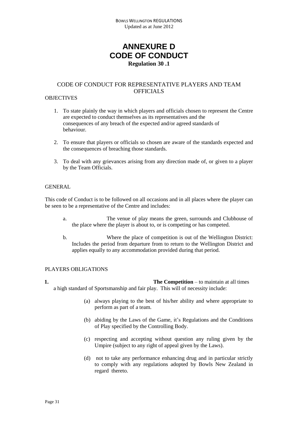### **ANNEXURE D CODE OF CONDUCT Regulation 30 .1**

#### CODE OF CONDUCT FOR REPRESENTATIVE PLAYERS AND TEAM OFFICIALS

#### **OBJECTIVES**

- 1. To state plainly the way in which players and officials chosen to represent the Centre are expected to conduct themselves as its representatives and the consequences of any breach of the expected and/or agreed standards of behaviour.
- 2. To ensure that players or officials so chosen are aware of the standards expected and the consequences of breaching those standards.
- 3. To deal with any grievances arising from any direction made of, or given to a player by the Team Officials.

#### **GENERAL**

This code of Conduct is to be followed on all occasions and in all places where the player can be seen to be a representative of the Centre and includes:

- a. The venue of play means the green, surrounds and Clubhouse of the place where the player is about to, or is competing or has competed.
- b. Where the place of competition is out of the Wellington District: Includes the period from departure from to return to the Wellington District and applies equally to any accommodation provided during that period.

#### PLAYERS OBLIGATIONS

**1. The Competition** – to maintain at all times a high standard of Sportsmanship and fair play. This will of necessity include:

- (a) always playing to the best of his/her ability and where appropriate to perform as part of a team.
- (b) abiding by the Laws of the Game, it's Regulations and the Conditions of Play specified by the Controlling Body.
- (c) respecting and accepting without question any ruling given by the Umpire (subject to any right of appeal given by the Laws).
- (d) not to take any performance enhancing drug and in particular strictly to comply with any regulations adopted by Bowls New Zealand in regard thereto.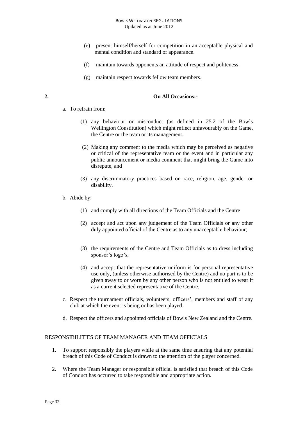#### BOWLS WELLINGTON REGULATIONS Updated as at June 2012

- (e) present himself/herself for competition in an acceptable physical and mental condition and standard of appearance.
- (f) maintain towards opponents an attitude of respect and politeness.
- (g) maintain respect towards fellow team members.

#### **2. On All Occasions:-**

- a. To refrain from:
	- (1) any behaviour or misconduct (as defined in 25.2 of the Bowls Wellington Constitution) which might reflect unfavourably on the Game, the Centre or the team or its management.
	- (2) Making any comment to the media which may be perceived as negative or critical of the representative team or the event and in particular any public announcement or media comment that might bring the Game into disrepute, and
	- (3) any discriminatory practices based on race, religion, age, gender or disability.
- b. Abide by:
	- (1) and comply with all directions of the Team Officials and the Centre
	- (2) accept and act upon any judgement of the Team Officials or any other duly appointed official of the Centre as to any unacceptable behaviour;
	- (3) the requirements of the Centre and Team Officials as to dress including sponsor's logo's,
	- (4) and accept that the representative uniform is for personal representative use only, (unless otherwise authorised by the Centre) and no part is to be given away to or worn by any other person who is not entitled to wear it as a current selected representative of the Centre.
- c. Respect the tournament officials, volunteers, officers', members and staff of any club at which the event is being or has been played.
- d. Respect the officers and appointed officials of Bowls New Zealand and the Centre.

#### RESPONSIBILITIES OF TEAM MANAGER AND TEAM OFFICIALS

- 1. To support responsibly the players while at the same time ensuring that any potential breach of this Code of Conduct is drawn to the attention of the player concerned.
- 2. Where the Team Manager or responsible official is satisfied that breach of this Code of Conduct has occurred to take responsible and appropriate action.